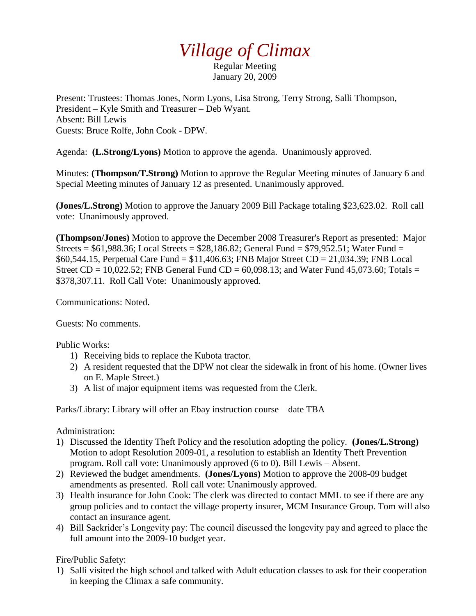## *Village of Climax*

Regular Meeting January 20, 2009

Present: Trustees: Thomas Jones, Norm Lyons, Lisa Strong, Terry Strong, Salli Thompson, President – Kyle Smith and Treasurer – Deb Wyant. Absent: Bill Lewis Guests: Bruce Rolfe, John Cook - DPW.

Agenda: **(L.Strong/Lyons)** Motion to approve the agenda. Unanimously approved.

Minutes: **(Thompson/T.Strong)** Motion to approve the Regular Meeting minutes of January 6 and Special Meeting minutes of January 12 as presented. Unanimously approved.

**(Jones/L.Strong)** Motion to approve the January 2009 Bill Package totaling \$23,623.02. Roll call vote: Unanimously approved.

**(Thompson/Jones)** Motion to approve the December 2008 Treasurer's Report as presented: Major Streets =  $$61,988.36$ ; Local Streets =  $$28,186.82$ ; General Fund =  $$79,952.51$ ; Water Fund = \$60,544.15, Perpetual Care Fund = \$11,406.63; FNB Major Street CD = 21,034.39; FNB Local Street CD = 10,022.52; FNB General Fund CD =  $60,098.13$ ; and Water Fund 45,073.60; Totals = \$378,307.11. Roll Call Vote: Unanimously approved.

Communications: Noted.

Guests: No comments.

Public Works:

- 1) Receiving bids to replace the Kubota tractor.
- 2) A resident requested that the DPW not clear the sidewalk in front of his home. (Owner lives on E. Maple Street.)
- 3) A list of major equipment items was requested from the Clerk.

Parks/Library: Library will offer an Ebay instruction course – date TBA

Administration:

- 1) Discussed the Identity Theft Policy and the resolution adopting the policy. **(Jones/L.Strong)**  Motion to adopt Resolution 2009-01, a resolution to establish an Identity Theft Prevention program. Roll call vote: Unanimously approved (6 to 0). Bill Lewis – Absent.
- 2) Reviewed the budget amendments. **(Jones/Lyons)** Motion to approve the 2008-09 budget amendments as presented. Roll call vote: Unanimously approved.
- 3) Health insurance for John Cook: The clerk was directed to contact MML to see if there are any group policies and to contact the village property insurer, MCM Insurance Group. Tom will also contact an insurance agent.
- 4) Bill Sackrider's Longevity pay: The council discussed the longevity pay and agreed to place the full amount into the 2009-10 budget year.

Fire/Public Safety:

1) Salli visited the high school and talked with Adult education classes to ask for their cooperation in keeping the Climax a safe community.